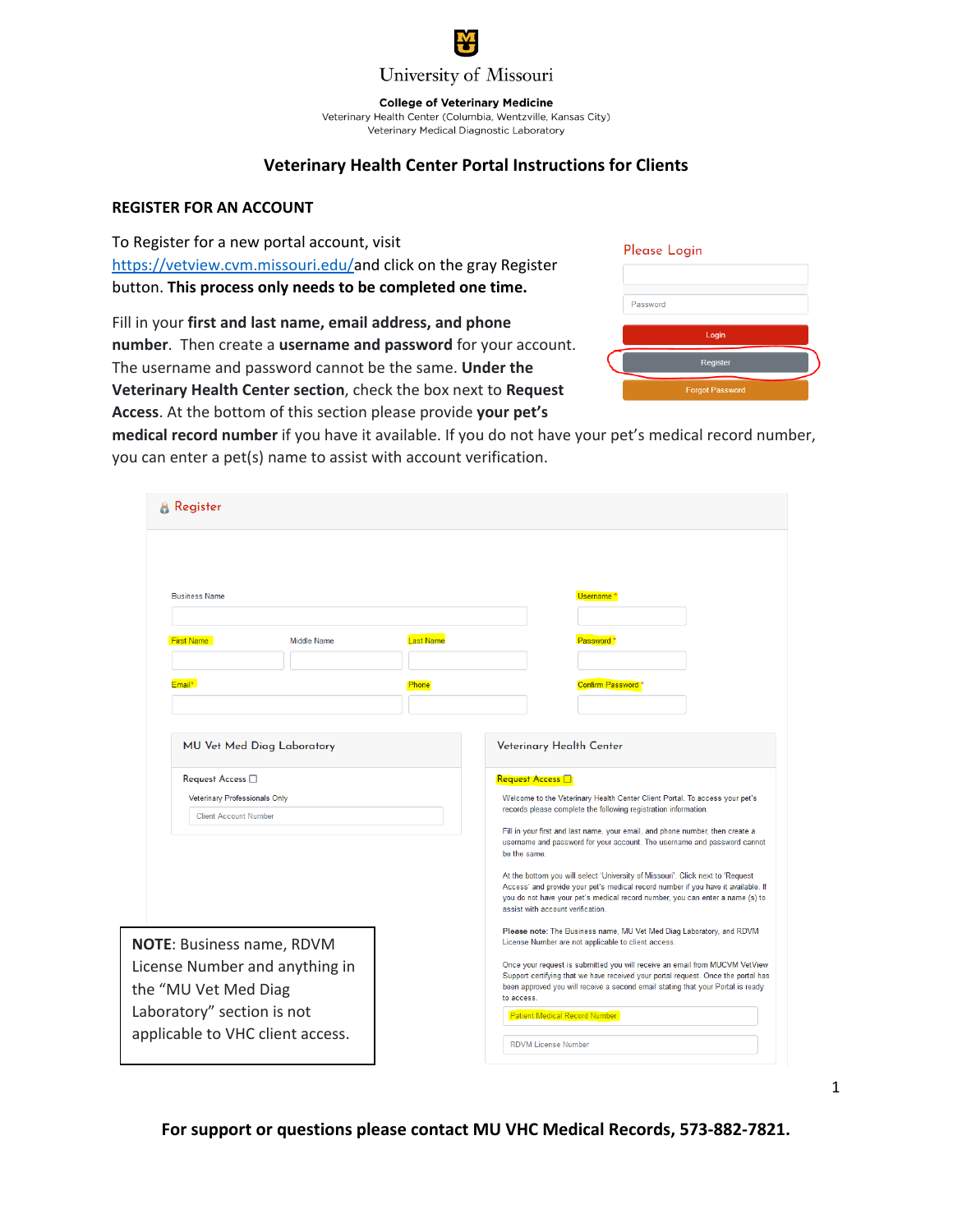

**College of Veterinary Medicine** 

Veterinary Health Center (Columbia, Wentzville, Kansas City) Veterinary Medical Diagnostic Laboratory

## **Veterinary Health Center Portal Instructions for Clients**

## **REGISTER FOR AN ACCOUNT**

To Register for a new portal account, visit [https://vetview.cvm.missouri.edu/a](https://vetview.cvm.missouri.edu/login/register)nd click on the gray Register button. **This process only needs to be completed one time.**

Fill in your **first and last name, email address, and phone number**. Then create a **username and password** for your account. The username and password cannot be the same. **Under the Veterinary Health Center section**, check the box next to **Request Access**. At the bottom of this section please provide **your pet's** 

| Please Login           |  |
|------------------------|--|
| Password               |  |
| Login                  |  |
| Register               |  |
| <b>Forgot Password</b> |  |

**medical record number** if you have it available. If you do not have your pet's medical record number, you can enter a pet(s) name to assist with account verification.

| <b>Register</b>                                                                                                                                              |                                                                                           |                  |                                                                                                                                                                                                                                                                                                                                                                                                                                                                                                                                                                                                                                                     |
|--------------------------------------------------------------------------------------------------------------------------------------------------------------|-------------------------------------------------------------------------------------------|------------------|-----------------------------------------------------------------------------------------------------------------------------------------------------------------------------------------------------------------------------------------------------------------------------------------------------------------------------------------------------------------------------------------------------------------------------------------------------------------------------------------------------------------------------------------------------------------------------------------------------------------------------------------------------|
| <b>Business Name</b>                                                                                                                                         |                                                                                           |                  | Username <sup>*</sup>                                                                                                                                                                                                                                                                                                                                                                                                                                                                                                                                                                                                                               |
| <b>First Name</b>                                                                                                                                            | <b>Middle Name</b>                                                                        | <b>Last Name</b> | Password <sup>*</sup>                                                                                                                                                                                                                                                                                                                                                                                                                                                                                                                                                                                                                               |
| Fmail*                                                                                                                                                       |                                                                                           | Phone            | Confirm Password <sup>*</sup>                                                                                                                                                                                                                                                                                                                                                                                                                                                                                                                                                                                                                       |
|                                                                                                                                                              | MU Vet Med Diag Laboratory                                                                |                  | Veterinary Health Center                                                                                                                                                                                                                                                                                                                                                                                                                                                                                                                                                                                                                            |
|                                                                                                                                                              | Request Access $\square$<br>Veterinary Professionals Only<br><b>Client Account Number</b> |                  | Request Access <b>F</b><br>Welcome to the Veterinary Health Center Client Portal. To access your pet's<br>records please complete the following registration information.<br>Fill in your first and last name, your email, and phone number, then create a<br>username and password for your account. The username and password cannot<br>be the same.<br>At the bottom you will select 'University of Missouri'. Click next to 'Request<br>Access' and provide your pet's medical record number if you have it available. If<br>you do not have your pet's medical record number, you can enter a name (s) to<br>assist with account verification. |
| <b>NOTE: Business name, RDVM</b><br>License Number and anything in<br>the "MU Vet Med Diag<br>Laboratory" section is not<br>applicable to VHC client access. |                                                                                           |                  | Please note: The Business name, MU Vet Med Diag Laboratory, and RDVM<br>License Number are not applicable to client access.<br>Once your request is submitted you will receive an email from MUCVM VetView<br>Support certifying that we have received your portal request. Once the portal has<br>been approved you will receive a second email stating that your Portal is ready<br>to access.<br><b>Patient Medical Record Number</b><br><b>RDVM License Number</b>                                                                                                                                                                              |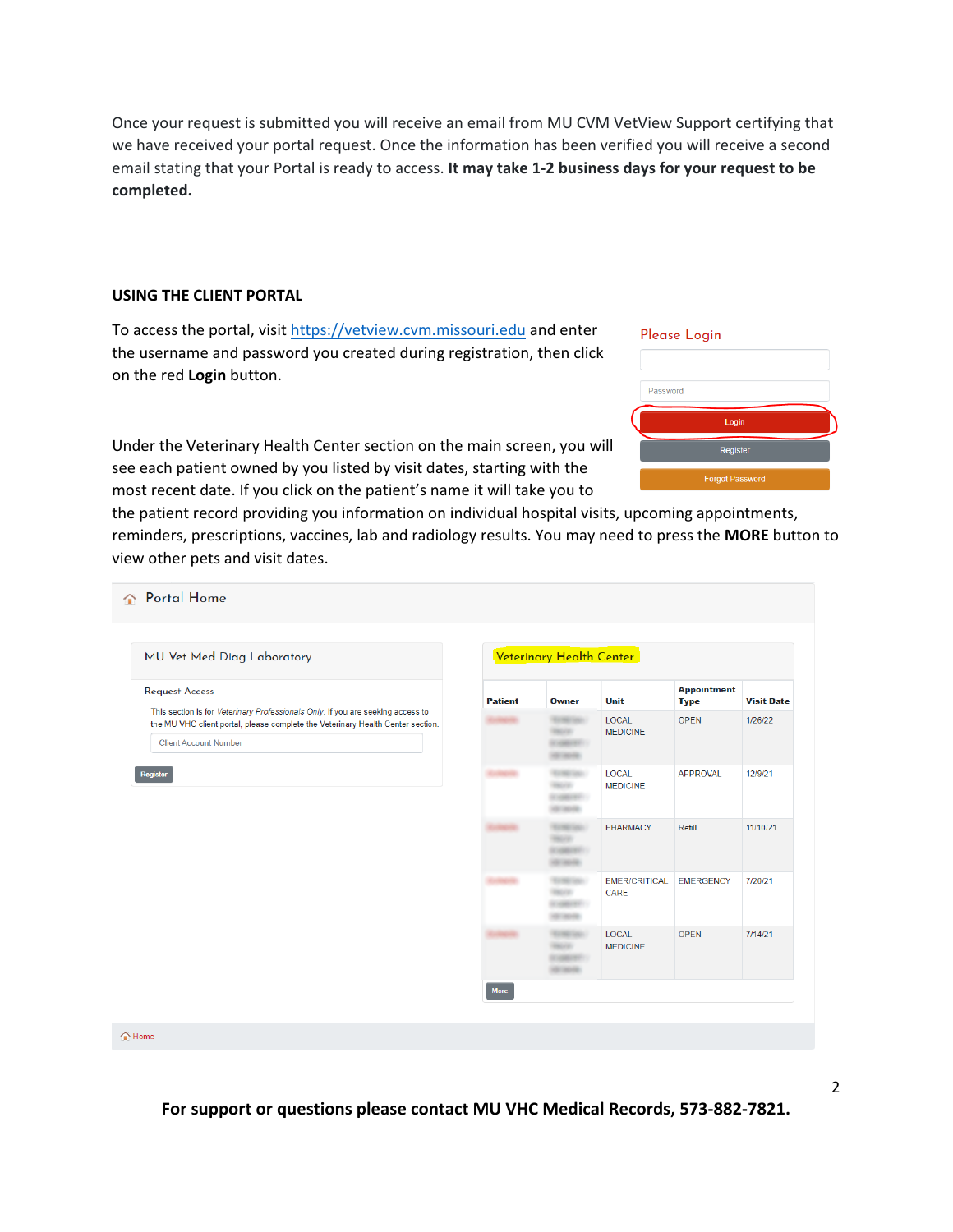Once your request is submitted you will receive an email from MU CVM VetView Support certifying that we have received your portal request. Once the information has been verified you will receive a second email stating that your Portal is ready to access. **It may take 1-2 business days for your request to be completed.**

## **USING THE CLIENT PORTAL**

To access the portal, visit [https://vetview.cvm.missouri.edu](https://vetview.cvm.missouri.edu/) and enter the username and password you created during registration, then click on the red **Login** button.

Under the Veterinary Health Center section on the main screen, you will see each patient owned by you listed by visit dates, starting with the most recent date. If you click on the patient's name it will take you to

## Please Login



the patient record providing you information on individual hospital visits, upcoming appointments, reminders, prescriptions, vaccines, lab and radiology results. You may need to press the **MORE** button to view other pets and visit dates.

| MU Vet Med Diag Laboratory                                                                                                                                                                         |                | Veterinary Health Center                              |                                 |                                   |                   |
|----------------------------------------------------------------------------------------------------------------------------------------------------------------------------------------------------|----------------|-------------------------------------------------------|---------------------------------|-----------------------------------|-------------------|
| <b>Request Access</b>                                                                                                                                                                              | <b>Patient</b> | <b>Owner</b>                                          | Unit                            | <b>Appointment</b><br><b>Type</b> | <b>Visit Date</b> |
| This section is for Veterinary Professionals Only. If you are seeking access to<br>the MU VHC client portal, please complete the Veterinary Health Center section.<br><b>Client Account Number</b> |                | <b>Random Sales</b><br><b>SOFT</b><br><b>CARD AND</b> | LOCAL<br><b>MEDICINE</b>        | <b>OPEN</b>                       | 1/26/22           |
| Register                                                                                                                                                                                           |                |                                                       | <b>LOCAL</b><br><b>MEDICINE</b> | <b>APPROVAL</b>                   | 12/9/21           |
|                                                                                                                                                                                                    |                | <b>CONTRACTOR</b><br><b>NOVER</b><br><b>CARL HOLL</b> | PHARMACY                        | Refill                            | 11/10/21          |
|                                                                                                                                                                                                    |                | <b>CONTRACTOR</b><br><b>HOME</b>                      | <b>EMER/CRITICAL</b><br>CARE    | <b>EMERGENCY</b>                  | 7/20/21           |
|                                                                                                                                                                                                    |                | <b>Karl Grade</b><br><b>AT HORN</b>                   | LOCAL<br><b>MEDICINE</b>        | <b>OPEN</b>                       | 7/14/21           |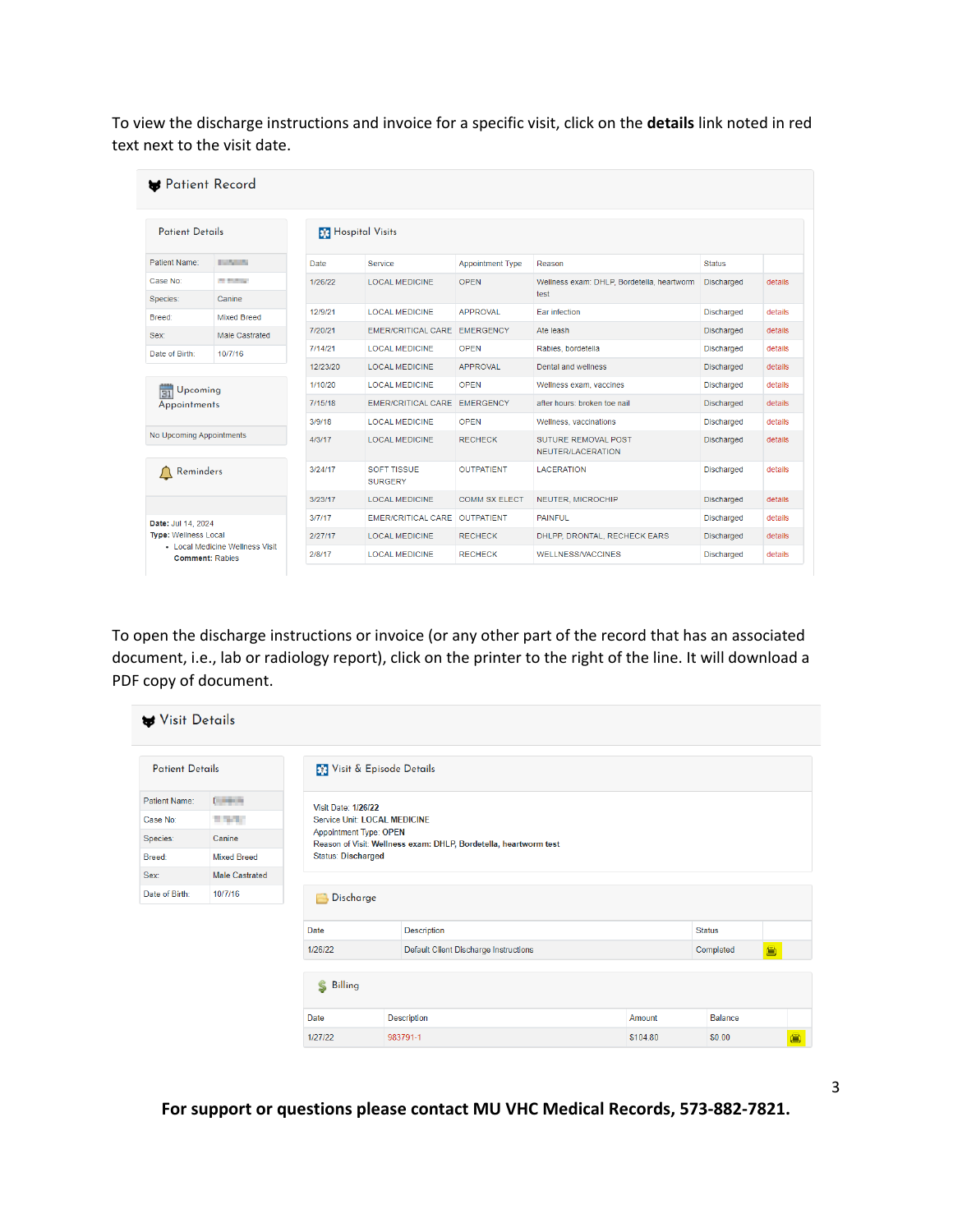To view the discharge instructions and invoice for a specific visit, click on the **details** link noted in red text next to the visit date.

| <b>Patient Details</b>                       |                                                           | <b>R</b> Hospital Visits |                                      |                         |                                                    |                   |         |  |  |  |
|----------------------------------------------|-----------------------------------------------------------|--------------------------|--------------------------------------|-------------------------|----------------------------------------------------|-------------------|---------|--|--|--|
| Patient Name:<br><b><i>COMMUNICATION</i></b> |                                                           | <b>Date</b>              | Service                              | <b>Appointment Type</b> | Reason                                             | <b>Status</b>     |         |  |  |  |
| Case No:<br>Species:                         | <b>CONTRACTOR</b><br>Canine                               | 1/26/22                  | <b>LOCAL MEDICINE</b>                | <b>OPEN</b>             | Wellness exam: DHLP, Bordetella, heartworm<br>test | <b>Discharged</b> | details |  |  |  |
| Breed:                                       | <b>Mixed Breed</b>                                        | 12/9/21                  | <b>LOCAL MEDICINE</b>                | <b>APPROVAL</b>         | <b>Ear infection</b>                               | <b>Discharged</b> | details |  |  |  |
| Sex:                                         | Male Castrated                                            | 7/20/21                  | EMER/CRITICAL CARE EMERGENCY         |                         | Ate leash                                          | <b>Discharged</b> | details |  |  |  |
| Date of Birth:                               | 10/7/16                                                   | 7/14/21                  | <b>LOCAL MEDICINE</b>                | OPEN                    | Rabies, bordetella                                 | <b>Discharged</b> | details |  |  |  |
|                                              |                                                           | 12/23/20                 | <b>LOCAL MEDICINE</b>                | <b>APPROVAL</b>         | Dental and wellness                                | <b>Discharged</b> | details |  |  |  |
| Upcoming<br>31                               |                                                           | 1/10/20                  | <b>LOCAL MEDICINE</b>                | <b>OPEN</b>             | Wellness exam, vaccines                            | <b>Discharged</b> | details |  |  |  |
| Appointments                                 |                                                           | 7/15/18                  | EMER/CRITICAL CARE EMERGENCY         |                         | after hours: broken toe nail                       | <b>Discharged</b> | details |  |  |  |
|                                              |                                                           | 3/9/18                   | <b>LOCAL MEDICINE</b>                | <b>OPFN</b>             | Wellness, vaccinations                             | <b>Discharged</b> | details |  |  |  |
| No Upcoming Appointments                     |                                                           | 4/3/17                   | <b>LOCAL MEDICINE</b>                | <b>RECHECK</b>          | <b>SUTURE REMOVAL POST</b><br>NEUTER/LACERATION    | <b>Discharged</b> | details |  |  |  |
| Reminders<br>$\cup$                          |                                                           | 3/24/17                  | <b>SOFT TISSUE</b><br><b>SURGERY</b> | <b>OUTPATIENT</b>       | <b>LACERATION</b>                                  | <b>Discharged</b> | details |  |  |  |
|                                              |                                                           | 3/23/17                  | <b>LOCAL MEDICINE</b>                | <b>COMM SX ELECT</b>    | NEUTER, MICROCHIP                                  | <b>Discharged</b> | details |  |  |  |
| Date: Jul 14, 2024                           |                                                           | 3/7/17                   | <b>EMER/CRITICAL CARE OUTPATIENT</b> |                         | <b>PAINFUL</b>                                     | <b>Discharged</b> | details |  |  |  |
| <b>Type: Wellness Local</b>                  |                                                           | 2/27/17                  | <b>LOCAL MEDICINE</b>                | <b>RECHECK</b>          | DHLPP, DRONTAL, RECHECK EARS                       | <b>Discharged</b> | details |  |  |  |
|                                              | • Local Medicine Wellness Visit<br><b>Comment: Rabies</b> | 2/8/17                   | <b>LOCAL MEDICINE</b>                | <b>RECHECK</b>          | <b>WELLNESS/VACCINES</b>                           | <b>Discharged</b> | details |  |  |  |

To open the discharge instructions or invoice (or any other part of the record that has an associated document, i.e., lab or radiology report), click on the printer to the right of the line. It will download a PDF copy of document.

| Visit Details          |                    |                              |                                                                                                   |                                              |          |                |   |  |  |
|------------------------|--------------------|------------------------------|---------------------------------------------------------------------------------------------------|----------------------------------------------|----------|----------------|---|--|--|
| <b>Patient Details</b> |                    | Visit & Episode Details      |                                                                                                   |                                              |          |                |   |  |  |
| Patient Name:          | <b>Common</b>      | <b>Visit Date: 1/26/22</b>   |                                                                                                   |                                              |          |                |   |  |  |
| Case No:               | <b>TANK</b>        | Service Unit: LOCAL MEDICINE |                                                                                                   |                                              |          |                |   |  |  |
| Species:               | Canine             |                              | <b>Appointment Type: OPEN</b><br>Reason of Visit: Wellness exam: DHLP, Bordetella, heartworm test |                                              |          |                |   |  |  |
| Breed:                 | <b>Mixed Breed</b> |                              | <b>Status: Discharged</b>                                                                         |                                              |          |                |   |  |  |
| Sex:                   | Male Castrated     |                              |                                                                                                   |                                              |          |                |   |  |  |
| Date of Birth:         | 10/7/16            | Discharge                    |                                                                                                   |                                              |          |                |   |  |  |
|                        |                    | Date                         |                                                                                                   | Description                                  |          | <b>Status</b>  |   |  |  |
|                        |                    | 1/26/22                      |                                                                                                   | <b>Default Client Discharge Instructions</b> |          | 画<br>Completed |   |  |  |
|                        |                    | S Billing                    |                                                                                                   |                                              |          |                |   |  |  |
|                        |                    | Date                         |                                                                                                   | Description                                  | Amount   | Balance        |   |  |  |
|                        |                    | 1/27/22                      |                                                                                                   | 983791-1                                     | \$104.80 | \$0.00         | ఆ |  |  |